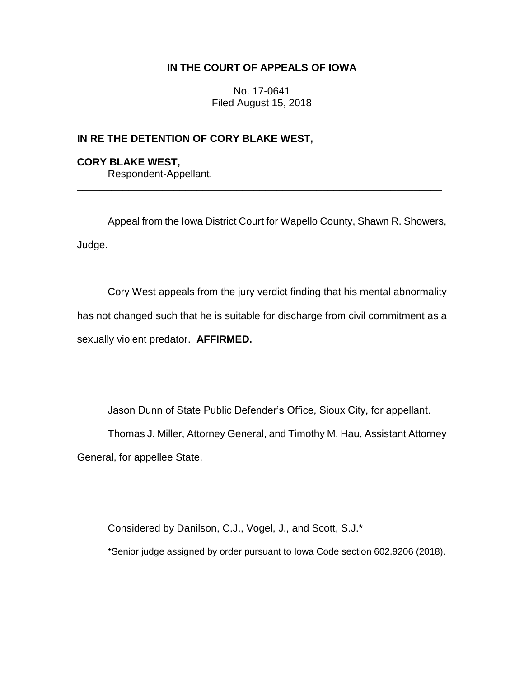# **IN THE COURT OF APPEALS OF IOWA**

No. 17-0641 Filed August 15, 2018

## **IN RE THE DETENTION OF CORY BLAKE WEST,**

# **CORY BLAKE WEST,** Respondent-Appellant.

Appeal from the Iowa District Court for Wapello County, Shawn R. Showers, Judge.

\_\_\_\_\_\_\_\_\_\_\_\_\_\_\_\_\_\_\_\_\_\_\_\_\_\_\_\_\_\_\_\_\_\_\_\_\_\_\_\_\_\_\_\_\_\_\_\_\_\_\_\_\_\_\_\_\_\_\_\_\_\_\_\_

Cory West appeals from the jury verdict finding that his mental abnormality has not changed such that he is suitable for discharge from civil commitment as a sexually violent predator. **AFFIRMED.**

Jason Dunn of State Public Defender's Office, Sioux City, for appellant.

Thomas J. Miller, Attorney General, and Timothy M. Hau, Assistant Attorney General, for appellee State.

Considered by Danilson, C.J., Vogel, J., and Scott, S.J.\* \*Senior judge assigned by order pursuant to Iowa Code section 602.9206 (2018).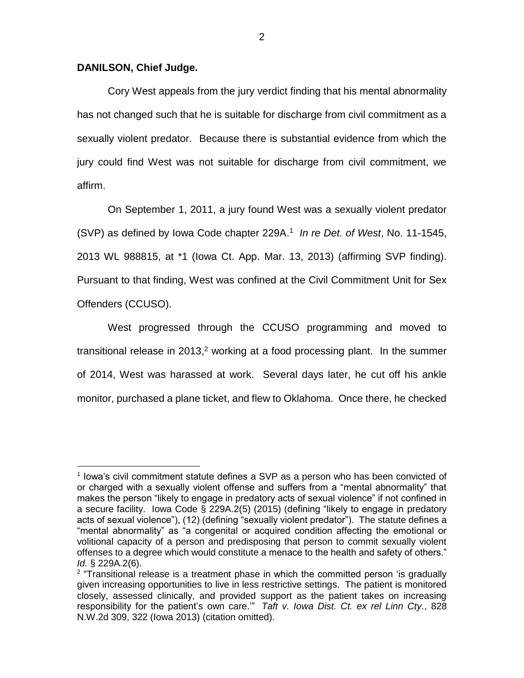#### **DANILSON, Chief Judge.**

 $\overline{a}$ 

Cory West appeals from the jury verdict finding that his mental abnormality has not changed such that he is suitable for discharge from civil commitment as a sexually violent predator. Because there is substantial evidence from which the jury could find West was not suitable for discharge from civil commitment, we affirm.

On September 1, 2011, a jury found West was a sexually violent predator (SVP) as defined by Iowa Code chapter 229A. 1 *In re Det. of West*, No. 11-1545, 2013 WL 988815, at \*1 (Iowa Ct. App. Mar. 13, 2013) (affirming SVP finding). Pursuant to that finding, West was confined at the Civil Commitment Unit for Sex Offenders (CCUSO).

West progressed through the CCUSO programming and moved to transitional release in 2013,<sup>2</sup> working at a food processing plant. In the summer of 2014, West was harassed at work. Several days later, he cut off his ankle monitor, purchased a plane ticket, and flew to Oklahoma. Once there, he checked

<sup>&</sup>lt;sup>1</sup> lowa's civil commitment statute defines a SVP as a person who has been convicted of or charged with a sexually violent offense and suffers from a "mental abnormality" that makes the person "likely to engage in predatory acts of sexual violence" if not confined in a secure facility. Iowa Code § 229A.2(5) (2015) (defining "likely to engage in predatory acts of sexual violence"), (12) (defining "sexually violent predator"). The statute defines a "mental abnormality" as "a congenital or acquired condition affecting the emotional or volitional capacity of a person and predisposing that person to commit sexually violent offenses to a degree which would constitute a menace to the health and safety of others." *Id.* § 229A.2(6).

<sup>&</sup>lt;sup>2</sup> "Transitional release is a treatment phase in which the committed person 'is gradually given increasing opportunities to live in less restrictive settings. The patient is monitored closely, assessed clinically, and provided support as the patient takes on increasing responsibility for the patient's own care.'" *Taft v. Iowa Dist. Ct. ex rel Linn Cty.*, 828 N.W.2d 309, 322 (Iowa 2013) (citation omitted).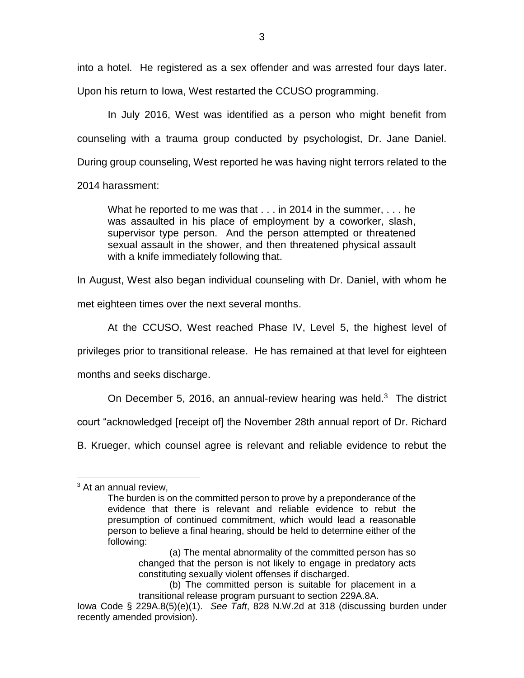into a hotel. He registered as a sex offender and was arrested four days later.

Upon his return to Iowa, West restarted the CCUSO programming.

In July 2016, West was identified as a person who might benefit from counseling with a trauma group conducted by psychologist, Dr. Jane Daniel. During group counseling, West reported he was having night terrors related to the

2014 harassment:

What he reported to me was that . . . in 2014 in the summer, . . . he was assaulted in his place of employment by a coworker, slash, supervisor type person. And the person attempted or threatened sexual assault in the shower, and then threatened physical assault with a knife immediately following that.

In August, West also began individual counseling with Dr. Daniel, with whom he

met eighteen times over the next several months.

At the CCUSO, West reached Phase IV, Level 5, the highest level of

privileges prior to transitional release. He has remained at that level for eighteen

months and seeks discharge.

On December 5, 2016, an annual-review hearing was held. $3$  The district

court "acknowledged [receipt of] the November 28th annual report of Dr. Richard

B. Krueger, which counsel agree is relevant and reliable evidence to rebut the

 $\overline{a}$ 

<sup>&</sup>lt;sup>3</sup> At an annual review,

The burden is on the committed person to prove by a preponderance of the evidence that there is relevant and reliable evidence to rebut the presumption of continued commitment, which would lead a reasonable person to believe a final hearing, should be held to determine either of the following:

<sup>(</sup>a) The mental abnormality of the committed person has so changed that the person is not likely to engage in predatory acts constituting sexually violent offenses if discharged.

<sup>(</sup>b) The committed person is suitable for placement in a transitional release program pursuant to section 229A.8A.

Iowa Code § 229A.8(5)(e)(1). *See Taft*, 828 N.W.2d at 318 (discussing burden under recently amended provision).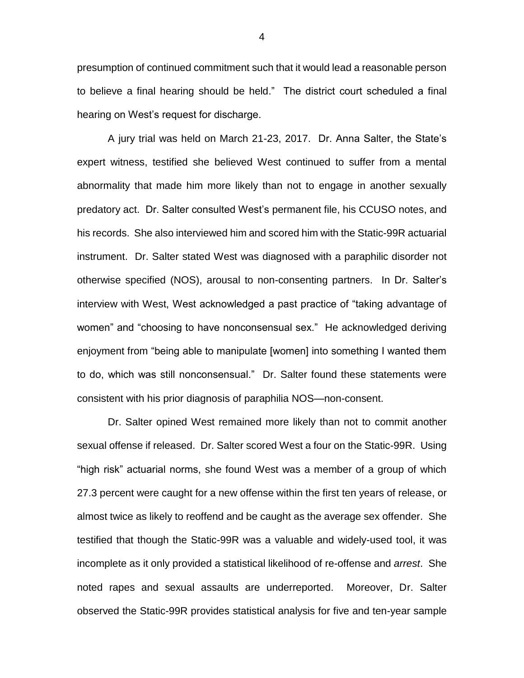presumption of continued commitment such that it would lead a reasonable person to believe a final hearing should be held." The district court scheduled a final hearing on West's request for discharge.

A jury trial was held on March 21-23, 2017. Dr. Anna Salter, the State's expert witness, testified she believed West continued to suffer from a mental abnormality that made him more likely than not to engage in another sexually predatory act. Dr. Salter consulted West's permanent file, his CCUSO notes, and his records. She also interviewed him and scored him with the Static-99R actuarial instrument. Dr. Salter stated West was diagnosed with a paraphilic disorder not otherwise specified (NOS), arousal to non-consenting partners. In Dr. Salter's interview with West, West acknowledged a past practice of "taking advantage of women" and "choosing to have nonconsensual sex." He acknowledged deriving enjoyment from "being able to manipulate [women] into something I wanted them to do, which was still nonconsensual." Dr. Salter found these statements were consistent with his prior diagnosis of paraphilia NOS—non-consent.

Dr. Salter opined West remained more likely than not to commit another sexual offense if released. Dr. Salter scored West a four on the Static-99R. Using "high risk" actuarial norms, she found West was a member of a group of which 27.3 percent were caught for a new offense within the first ten years of release, or almost twice as likely to reoffend and be caught as the average sex offender. She testified that though the Static-99R was a valuable and widely-used tool, it was incomplete as it only provided a statistical likelihood of re-offense and *arrest*.She noted rapes and sexual assaults are underreported. Moreover, Dr. Salter observed the Static-99R provides statistical analysis for five and ten-year sample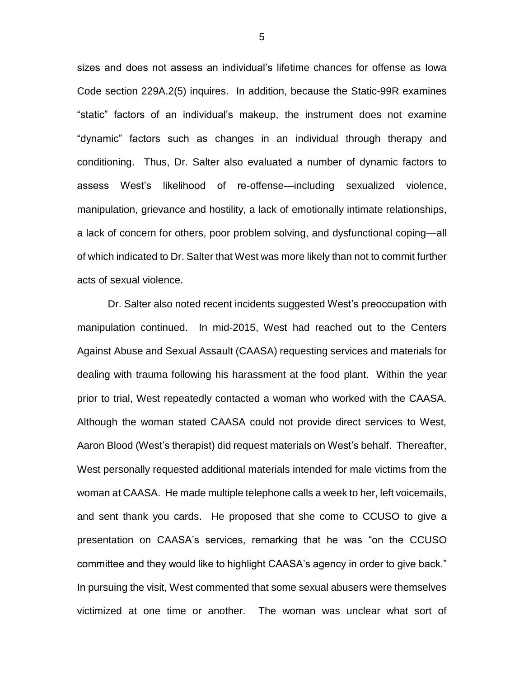sizes and does not assess an individual's lifetime chances for offense as Iowa Code section 229A.2(5) inquires. In addition, because the Static-99R examines "static" factors of an individual's makeup, the instrument does not examine "dynamic" factors such as changes in an individual through therapy and conditioning. Thus, Dr. Salter also evaluated a number of dynamic factors to assess West's likelihood of re-offense—including sexualized violence, manipulation, grievance and hostility, a lack of emotionally intimate relationships, a lack of concern for others, poor problem solving, and dysfunctional coping—all of which indicated to Dr. Salter that West was more likely than not to commit further acts of sexual violence.

Dr. Salter also noted recent incidents suggested West's preoccupation with manipulation continued. In mid-2015, West had reached out to the Centers Against Abuse and Sexual Assault (CAASA) requesting services and materials for dealing with trauma following his harassment at the food plant. Within the year prior to trial, West repeatedly contacted a woman who worked with the CAASA. Although the woman stated CAASA could not provide direct services to West, Aaron Blood (West's therapist) did request materials on West's behalf. Thereafter, West personally requested additional materials intended for male victims from the woman at CAASA. He made multiple telephone calls a week to her, left voicemails, and sent thank you cards. He proposed that she come to CCUSO to give a presentation on CAASA's services, remarking that he was "on the CCUSO committee and they would like to highlight CAASA's agency in order to give back." In pursuing the visit, West commented that some sexual abusers were themselves victimized at one time or another. The woman was unclear what sort of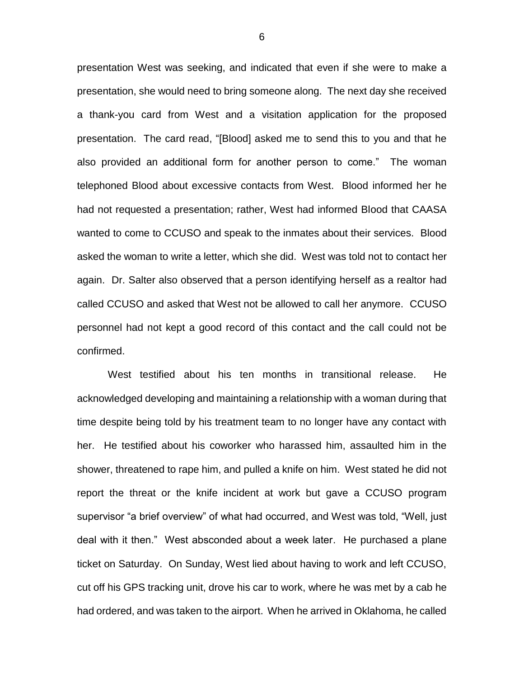presentation West was seeking, and indicated that even if she were to make a presentation, she would need to bring someone along. The next day she received a thank-you card from West and a visitation application for the proposed presentation. The card read, "[Blood] asked me to send this to you and that he also provided an additional form for another person to come." The woman telephoned Blood about excessive contacts from West. Blood informed her he had not requested a presentation; rather, West had informed Blood that CAASA wanted to come to CCUSO and speak to the inmates about their services. Blood asked the woman to write a letter, which she did. West was told not to contact her again. Dr. Salter also observed that a person identifying herself as a realtor had called CCUSO and asked that West not be allowed to call her anymore. CCUSO personnel had not kept a good record of this contact and the call could not be confirmed.

West testified about his ten months in transitional release. He acknowledged developing and maintaining a relationship with a woman during that time despite being told by his treatment team to no longer have any contact with her. He testified about his coworker who harassed him, assaulted him in the shower, threatened to rape him, and pulled a knife on him. West stated he did not report the threat or the knife incident at work but gave a CCUSO program supervisor "a brief overview" of what had occurred, and West was told, "Well, just deal with it then." West absconded about a week later. He purchased a plane ticket on Saturday. On Sunday, West lied about having to work and left CCUSO, cut off his GPS tracking unit, drove his car to work, where he was met by a cab he had ordered, and was taken to the airport. When he arrived in Oklahoma, he called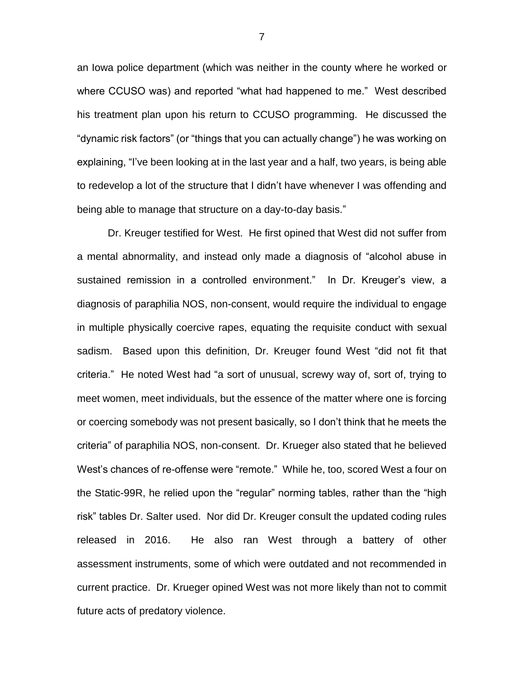an Iowa police department (which was neither in the county where he worked or where CCUSO was) and reported "what had happened to me." West described his treatment plan upon his return to CCUSO programming. He discussed the "dynamic risk factors" (or "things that you can actually change") he was working on explaining, "I've been looking at in the last year and a half, two years, is being able to redevelop a lot of the structure that I didn't have whenever I was offending and being able to manage that structure on a day-to-day basis."

Dr. Kreuger testified for West. He first opined that West did not suffer from a mental abnormality, and instead only made a diagnosis of "alcohol abuse in sustained remission in a controlled environment." In Dr. Kreuger's view, a diagnosis of paraphilia NOS, non-consent, would require the individual to engage in multiple physically coercive rapes, equating the requisite conduct with sexual sadism. Based upon this definition, Dr. Kreuger found West "did not fit that criteria." He noted West had "a sort of unusual, screwy way of, sort of, trying to meet women, meet individuals, but the essence of the matter where one is forcing or coercing somebody was not present basically, so I don't think that he meets the criteria" of paraphilia NOS, non-consent. Dr. Krueger also stated that he believed West's chances of re-offense were "remote." While he, too, scored West a four on the Static-99R, he relied upon the "regular" norming tables, rather than the "high risk" tables Dr. Salter used. Nor did Dr. Kreuger consult the updated coding rules released in 2016. He also ran West through a battery of other assessment instruments, some of which were outdated and not recommended in current practice. Dr. Krueger opined West was not more likely than not to commit future acts of predatory violence.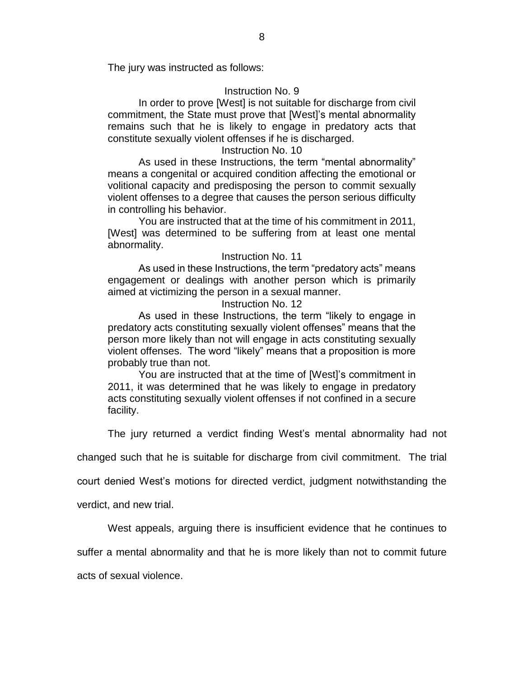The jury was instructed as follows:

## Instruction No. 9

In order to prove [West] is not suitable for discharge from civil commitment, the State must prove that [West]'s mental abnormality remains such that he is likely to engage in predatory acts that constitute sexually violent offenses if he is discharged.

## Instruction No. 10

As used in these Instructions, the term "mental abnormality" means a congenital or acquired condition affecting the emotional or volitional capacity and predisposing the person to commit sexually violent offenses to a degree that causes the person serious difficulty in controlling his behavior.

You are instructed that at the time of his commitment in 2011, [West] was determined to be suffering from at least one mental abnormality.

## Instruction No. 11

As used in these Instructions, the term "predatory acts" means engagement or dealings with another person which is primarily aimed at victimizing the person in a sexual manner.

#### Instruction No. 12

As used in these Instructions, the term "likely to engage in predatory acts constituting sexually violent offenses" means that the person more likely than not will engage in acts constituting sexually violent offenses. The word "likely" means that a proposition is more probably true than not.

You are instructed that at the time of [West]'s commitment in 2011, it was determined that he was likely to engage in predatory acts constituting sexually violent offenses if not confined in a secure facility.

The jury returned a verdict finding West's mental abnormality had not

changed such that he is suitable for discharge from civil commitment. The trial

court denied West's motions for directed verdict, judgment notwithstanding the

verdict, and new trial.

West appeals, arguing there is insufficient evidence that he continues to

suffer a mental abnormality and that he is more likely than not to commit future

acts of sexual violence.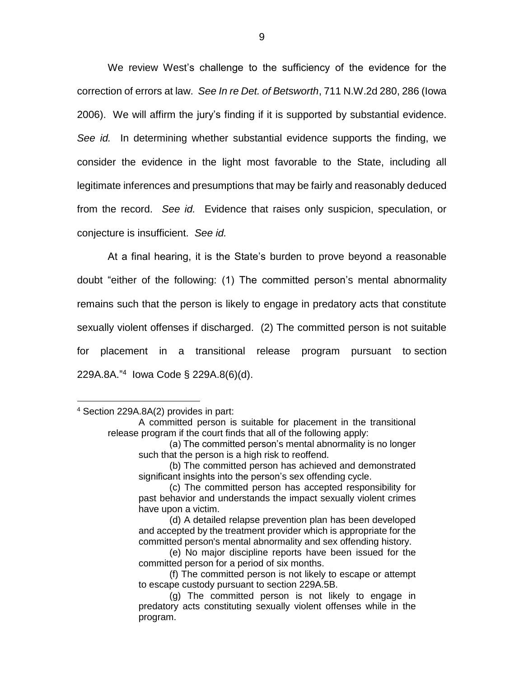We review West's challenge to the sufficiency of the evidence for the correction of errors at law. *See In re Det. of Betsworth*, 711 N.W.2d 280, 286 (Iowa 2006). We will affirm the jury's finding if it is supported by substantial evidence. *See id.* In determining whether substantial evidence supports the finding, we consider the evidence in the light most favorable to the State, including all legitimate inferences and presumptions that may be fairly and reasonably deduced from the record. *See id.* Evidence that raises only suspicion, speculation, or conjecture is insufficient. *See id.*

At a final hearing, it is the State's burden to prove beyond a reasonable doubt "either of the following: (1) The committed person's mental abnormality remains such that the person is likely to engage in predatory acts that constitute sexually violent offenses if discharged. (2) The committed person is not suitable for placement in a transitional release program pursuant to section 229A.8A." 4 Iowa Code § 229A.8(6)(d).

 $\overline{a}$ 

<sup>4</sup> Section 229A.8A(2) provides in part:

A committed person is suitable for placement in the transitional release program if the court finds that all of the following apply:

<sup>(</sup>a) The committed person's mental abnormality is no longer such that the person is a high risk to reoffend.

<sup>(</sup>b) The committed person has achieved and demonstrated significant insights into the person's sex offending cycle.

<sup>(</sup>c) The committed person has accepted responsibility for past behavior and understands the impact sexually violent crimes have upon a victim.

<sup>(</sup>d) A detailed relapse prevention plan has been developed and accepted by the treatment provider which is appropriate for the committed person's mental abnormality and sex offending history.

<sup>(</sup>e) No major discipline reports have been issued for the committed person for a period of six months.

<sup>(</sup>f) The committed person is not likely to escape or attempt to escape custody pursuant to section 229A.5B.

<sup>(</sup>g) The committed person is not likely to engage in predatory acts constituting sexually violent offenses while in the program.